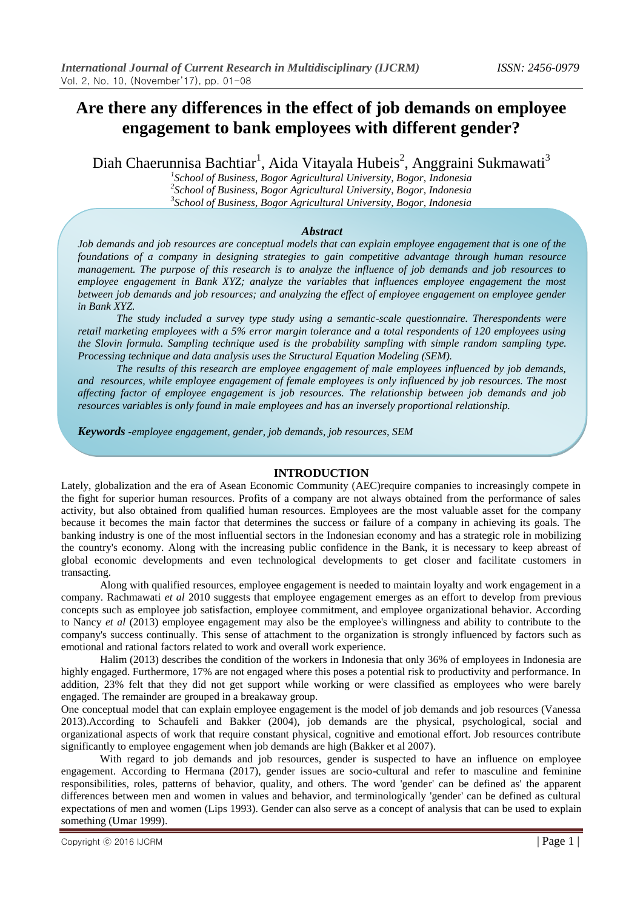## **Are there any differences in the effect of job demands on employee engagement to bank employees with different gender?**

Diah Chaerunnisa Bachtiar<sup>1</sup>, Aida Vitayala Hubeis<sup>2</sup>, Anggraini Sukmawati<sup>3</sup>

*1 School of Business, Bogor Agricultural University, Bogor, Indonesia 2 School of Business, Bogor Agricultural University, Bogor, Indonesia 3 School of Business, Bogor Agricultural University, Bogor, Indonesia*

### *Abstract*

*Job demands and job resources are conceptual models that can explain employee engagement that is one of the foundations of a company in designing strategies to gain competitive advantage through human resource management. The purpose of this research is to analyze the influence of job demands and job resources to employee engagement in Bank XYZ; analyze the variables that influences employee engagement the most between job demands and job resources; and analyzing the effect of employee engagement on employee gender in Bank XYZ.*

*The study included a survey type study using a semantic-scale questionnaire. Therespondents were retail marketing employees with a 5% error margin tolerance and a total respondents of 120 employees using the Slovin formula. Sampling technique used is the probability sampling with simple random sampling type. Processing technique and data analysis uses the Structural Equation Modeling (SEM).*

*The results of this research are employee engagement of male employees influenced by job demands, and resources, while employee engagement of female employees is only influenced by job resources. The most affecting factor of employee engagement is job resources. The relationship between job demands and job resources variables is only found in male employees and has an inversely proportional relationship.*

*Keywords -employee engagement, gender, job demands, job resources, SEM*

### **INTRODUCTION**

Lately, globalization and the era of Asean Economic Community (AEC)require companies to increasingly compete in the fight for superior human resources. Profits of a company are not always obtained from the performance of sales activity, but also obtained from qualified human resources. Employees are the most valuable asset for the company because it becomes the main factor that determines the success or failure of a company in achieving its goals. The banking industry is one of the most influential sectors in the Indonesian economy and has a strategic role in mobilizing the country's economy. Along with the increasing public confidence in the Bank, it is necessary to keep abreast of global economic developments and even technological developments to get closer and facilitate customers in transacting.

Along with qualified resources, employee engagement is needed to maintain loyalty and work engagement in a company. Rachmawati *et al* 2010 suggests that employee engagement emerges as an effort to develop from previous concepts such as employee job satisfaction, employee commitment, and employee organizational behavior. According to Nancy *et al* (2013) employee engagement may also be the employee's willingness and ability to contribute to the company's success continually. This sense of attachment to the organization is strongly influenced by factors such as emotional and rational factors related to work and overall work experience.

Halim (2013) describes the condition of the workers in Indonesia that only 36% of employees in Indonesia are highly engaged. Furthermore, 17% are not engaged where this poses a potential risk to productivity and performance. In addition, 23% felt that they did not get support while working or were classified as employees who were barely engaged. The remainder are grouped in a breakaway group.

One conceptual model that can explain employee engagement is the model of job demands and job resources (Vanessa 2013).According to Schaufeli and Bakker (2004), job demands are the physical, psychological, social and organizational aspects of work that require constant physical, cognitive and emotional effort. Job resources contribute significantly to employee engagement when job demands are high (Bakker et al 2007).

With regard to job demands and job resources, gender is suspected to have an influence on employee engagement. According to Hermana (2017), gender issues are socio-cultural and refer to masculine and feminine responsibilities, roles, patterns of behavior, quality, and others. The word 'gender' can be defined as' the apparent differences between men and women in values and behavior, and terminologically 'gender' can be defined as cultural expectations of men and women (Lips 1993). Gender can also serve as a concept of analysis that can be used to explain something (Umar 1999).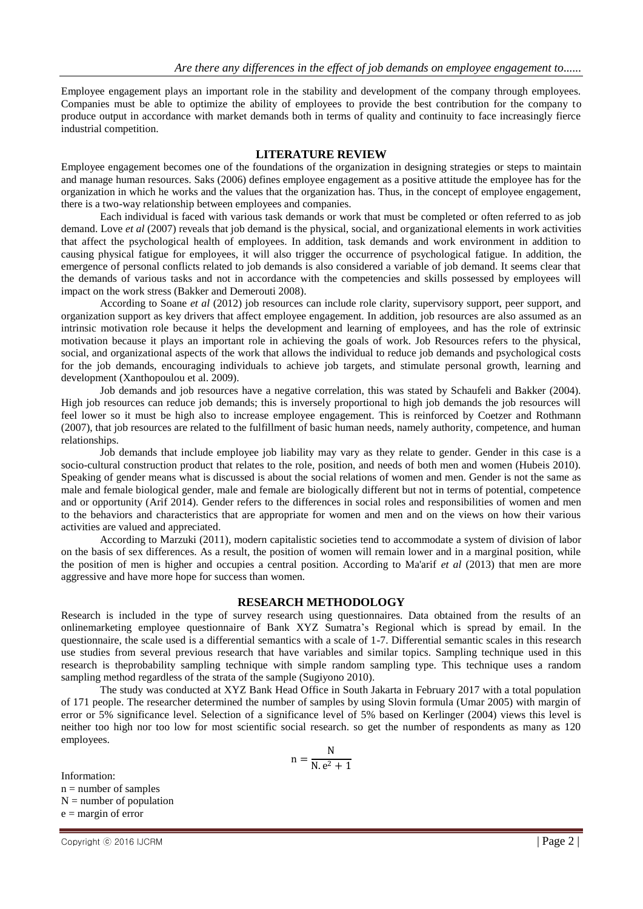Employee engagement plays an important role in the stability and development of the company through employees. Companies must be able to optimize the ability of employees to provide the best contribution for the company to produce output in accordance with market demands both in terms of quality and continuity to face increasingly fierce industrial competition.

### **LITERATURE REVIEW**

Employee engagement becomes one of the foundations of the organization in designing strategies or steps to maintain and manage human resources. Saks (2006) defines employee engagement as a positive attitude the employee has for the organization in which he works and the values that the organization has. Thus, in the concept of employee engagement, there is a two-way relationship between employees and companies.

Each individual is faced with various task demands or work that must be completed or often referred to as job demand. Love *et al* (2007) reveals that job demand is the physical, social, and organizational elements in work activities that affect the psychological health of employees. In addition, task demands and work environment in addition to causing physical fatigue for employees, it will also trigger the occurrence of psychological fatigue. In addition, the emergence of personal conflicts related to job demands is also considered a variable of job demand. It seems clear that the demands of various tasks and not in accordance with the competencies and skills possessed by employees will impact on the work stress (Bakker and Demerouti 2008).

According to Soane *et al* (2012) job resources can include role clarity, supervisory support, peer support, and organization support as key drivers that affect employee engagement. In addition, job resources are also assumed as an intrinsic motivation role because it helps the development and learning of employees, and has the role of extrinsic motivation because it plays an important role in achieving the goals of work. Job Resources refers to the physical, social, and organizational aspects of the work that allows the individual to reduce job demands and psychological costs for the job demands, encouraging individuals to achieve job targets, and stimulate personal growth, learning and development (Xanthopoulou et al. 2009).

Job demands and job resources have a negative correlation, this was stated by Schaufeli and Bakker (2004). High job resources can reduce job demands; this is inversely proportional to high job demands the job resources will feel lower so it must be high also to increase employee engagement. This is reinforced by Coetzer and Rothmann (2007), that job resources are related to the fulfillment of basic human needs, namely authority, competence, and human relationships.

Job demands that include employee job liability may vary as they relate to gender. Gender in this case is a socio-cultural construction product that relates to the role, position, and needs of both men and women (Hubeis 2010). Speaking of gender means what is discussed is about the social relations of women and men. Gender is not the same as male and female biological gender, male and female are biologically different but not in terms of potential, competence and or opportunity (Arif 2014). Gender refers to the differences in social roles and responsibilities of women and men to the behaviors and characteristics that are appropriate for women and men and on the views on how their various activities are valued and appreciated.

According to Marzuki (2011), modern capitalistic societies tend to accommodate a system of division of labor on the basis of sex differences. As a result, the position of women will remain lower and in a marginal position, while the position of men is higher and occupies a central position. According to Ma'arif *et al* (2013) that men are more aggressive and have more hope for success than women.

### **RESEARCH METHODOLOGY**

Research is included in the type of survey research using questionnaires. Data obtained from the results of an onlinemarketing employee questionnaire of Bank XYZ Sumatra's Regional which is spread by email. In the questionnaire, the scale used is a differential semantics with a scale of 1-7. Differential semantic scales in this research use studies from several previous research that have variables and similar topics. Sampling technique used in this research is theprobability sampling technique with simple random sampling type. This technique uses a random sampling method regardless of the strata of the sample (Sugiyono 2010).

The study was conducted at XYZ Bank Head Office in South Jakarta in February 2017 with a total population of 171 people. The researcher determined the number of samples by using Slovin formula (Umar 2005) with margin of error or 5% significance level. Selection of a significance level of 5% based on Kerlinger (2004) views this level is neither too high nor too low for most scientific social research. so get the number of respondents as many as 120 employees.

$$
n = \frac{N}{N \cdot e^2 + 1}
$$

Information:  $n =$  number of samples  $N =$  number of population  $e =$  margin of error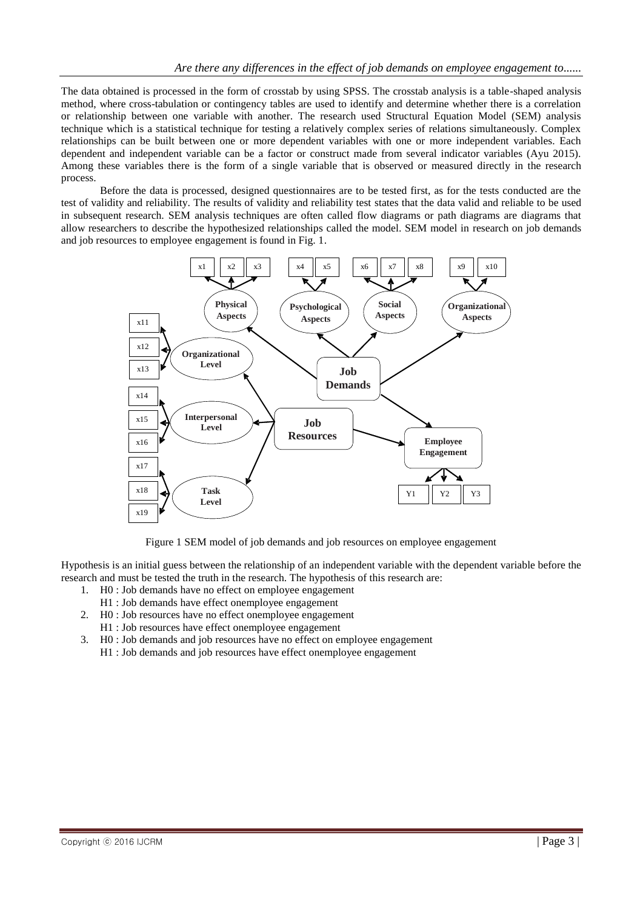The data obtained is processed in the form of crosstab by using SPSS. The crosstab analysis is a table-shaped analysis method, where cross-tabulation or contingency tables are used to identify and determine whether there is a correlation or relationship between one variable with another. The research used Structural Equation Model (SEM) analysis technique which is a statistical technique for testing a relatively complex series of relations simultaneously. Complex relationships can be built between one or more dependent variables with one or more independent variables. Each dependent and independent variable can be a factor or construct made from several indicator variables (Ayu 2015). Among these variables there is the form of a single variable that is observed or measured directly in the research process.

Before the data is processed, designed questionnaires are to be tested first, as for the tests conducted are the test of validity and reliability. The results of validity and reliability test states that the data valid and reliable to be used in subsequent research. SEM analysis techniques are often called flow diagrams or path diagrams are diagrams that allow researchers to describe the hypothesized relationships called the model. SEM model in research on job demands and job resources to employee engagement is found in Fig. 1.



Figure 1 SEM model of job demands and job resources on employee engagement

Hypothesis is an initial guess between the relationship of an independent variable with the dependent variable before the research and must be tested the truth in the research. The hypothesis of this research are:

- 1. H0 : Job demands have no effect on employee engagement
- H1 : Job demands have effect onemployee engagement
- 2. H0 : Job resources have no effect onemployee engagement H1 : Job resources have effect onemployee engagement
- 3. H0 : Job demands and job resources have no effect on employee engagement H1 : Job demands and job resources have effect onemployee engagement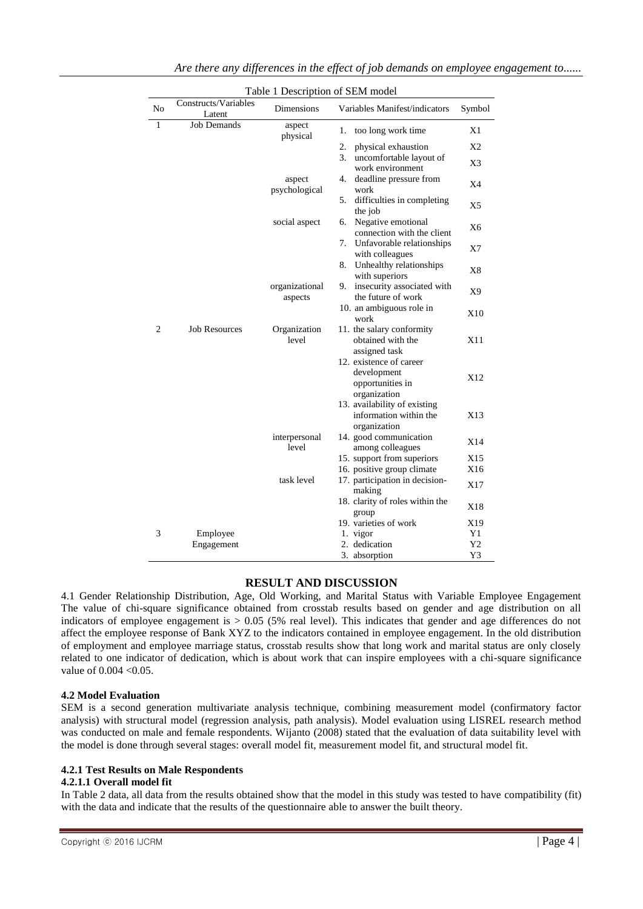|                |                                | Table 1 Description of SEM model |                                                                            |                |
|----------------|--------------------------------|----------------------------------|----------------------------------------------------------------------------|----------------|
| No             | Constructs/Variables<br>Latent | Dimensions                       | Variables Manifest/indicators                                              | Symbol         |
| $\mathbf{1}$   | <b>Job Demands</b>             | aspect<br>physical               | too long work time<br>1.                                                   | X1             |
|                |                                |                                  | 2.<br>physical exhaustion                                                  | X <sub>2</sub> |
|                |                                |                                  | 3.<br>uncomfortable layout of<br>work environment                          | X3             |
|                |                                | aspect<br>psychological          | deadline pressure from<br>4.<br>work                                       | X4             |
|                |                                |                                  | difficulties in completing<br>5.<br>the job                                | X <sub>5</sub> |
|                |                                | social aspect                    | Negative emotional<br>6.<br>connection with the client                     | X <sub>6</sub> |
|                |                                |                                  | 7.<br>Unfavorable relationships<br>with colleagues                         | X7             |
|                |                                |                                  | Unhealthy relationships<br>8.<br>with superiors                            | X8             |
|                |                                | organizational<br>aspects        | insecurity associated with<br>9.<br>the future of work                     | X9             |
|                |                                |                                  | 10. an ambiguous role in<br>work                                           | X10            |
| $\overline{c}$ | <b>Job Resources</b>           | Organization<br>level            | 11. the salary conformity<br>obtained with the<br>assigned task            | X11            |
|                |                                |                                  | 12. existence of career<br>development<br>opportunities in<br>organization | X12            |
|                |                                |                                  | 13. availability of existing<br>information within the<br>organization     | X13            |
|                |                                | interpersonal<br>level           | 14. good communication<br>among colleagues                                 | X14            |
|                |                                |                                  | 15. support from superiors                                                 | X15            |
|                |                                |                                  | 16. positive group climate                                                 | X16            |
|                |                                | task level                       | 17. participation in decision-<br>making                                   | X17            |
|                |                                |                                  | 18. clarity of roles within the<br>group                                   | X18            |
|                |                                |                                  | 19. varieties of work                                                      | X19            |
| 3              | Employee                       |                                  | 1. vigor                                                                   | Y1             |
|                | Engagement                     |                                  | 2. dedication                                                              | Y2             |
|                |                                |                                  | 3. absorption                                                              | Y3             |

### **RESULT AND DISCUSSION**

4.1 Gender Relationship Distribution, Age, Old Working, and Marital Status with Variable Employee Engagement The value of chi-square significance obtained from crosstab results based on gender and age distribution on all indicators of employee engagement is  $> 0.05$  (5% real level). This indicates that gender and age differences do not affect the employee response of Bank XYZ to the indicators contained in employee engagement. In the old distribution of employment and employee marriage status, crosstab results show that long work and marital status are only closely related to one indicator of dedication, which is about work that can inspire employees with a chi-square significance value of  $0.004 < 0.05$ .

### **4.2 Model Evaluation**

SEM is a second generation multivariate analysis technique, combining measurement model (confirmatory factor analysis) with structural model (regression analysis, path analysis). Model evaluation using LISREL research method was conducted on male and female respondents. Wijanto (2008) stated that the evaluation of data suitability level with the model is done through several stages: overall model fit, measurement model fit, and structural model fit.

### **4.2.1 Test Results on Male Respondents**

### **4.2.1.1 Overall model fit**

In Table 2 data, all data from the results obtained show that the model in this study was tested to have compatibility (fit) with the data and indicate that the results of the questionnaire able to answer the built theory.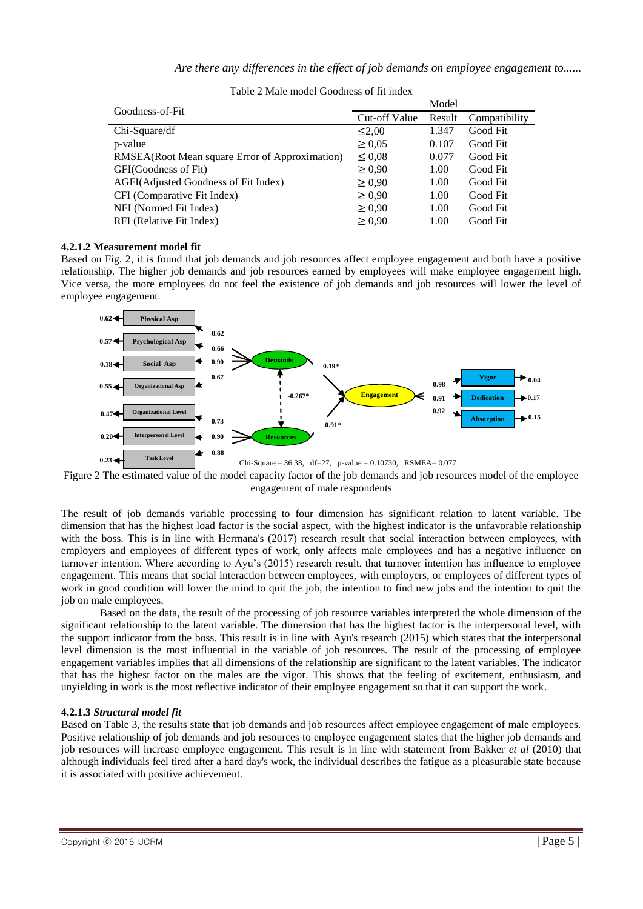| Table 2 Male model Goodness of fit index       |               |        |               |  |  |
|------------------------------------------------|---------------|--------|---------------|--|--|
| Goodness-of-Fit                                | Model         |        |               |  |  |
|                                                | Cut-off Value | Result | Compatibility |  |  |
| Chi-Square/df                                  | $\leq 2.00$   | 1.347  | Good Fit      |  |  |
| p-value                                        | $\geq 0.05$   | 0.107  | Good Fit      |  |  |
| RMSEA(Root Mean square Error of Approximation) | $\leq 0.08$   | 0.077  | Good Fit      |  |  |
| GFI(Goodness of Fit)                           | $\geq 0.90$   | 1.00   | Good Fit      |  |  |
| AGFI(Adjusted Goodness of Fit Index)           | $\geq 0.90$   | 1.00   | Good Fit      |  |  |
| CFI (Comparative Fit Index)                    | $\geq 0.90$   | 1.00   | Good Fit      |  |  |
| NFI (Normed Fit Index)                         | $\geq 0.90$   | 1.00   | Good Fit      |  |  |
| RFI (Relative Fit Index)                       | $\geq 0.90$   | 1.00   | Good Fit      |  |  |

### **4.2.1.2 Measurement model fit**

Based on Fig. 2, it is found that job demands and job resources affect employee engagement and both have a positive relationship. The higher job demands and job resources earned by employees will make employee engagement high. Vice versa, the more employees do not feel the existence of job demands and job resources will lower the level of employee engagement.



Figure 2 The estimated value of the model capacity factor of the job demands and job resources model of the employee engagement of male respondents

The result of job demands variable processing to four dimension has significant relation to latent variable. The dimension that has the highest load factor is the social aspect, with the highest indicator is the unfavorable relationship with the boss. This is in line with Hermana's (2017) research result that social interaction between employees, with employers and employees of different types of work, only affects male employees and has a negative influence on turnover intention. Where according to Ayu's (2015) research result, that turnover intention has influence to employee engagement. This means that social interaction between employees, with employers, or employees of different types of work in good condition will lower the mind to quit the job, the intention to find new jobs and the intention to quit the job on male employees.

Based on the data, the result of the processing of job resource variables interpreted the whole dimension of the significant relationship to the latent variable. The dimension that has the highest factor is the interpersonal level, with the support indicator from the boss. This result is in line with Ayu's research (2015) which states that the interpersonal level dimension is the most influential in the variable of job resources. The result of the processing of employee engagement variables implies that all dimensions of the relationship are significant to the latent variables. The indicator that has the highest factor on the males are the vigor. This shows that the feeling of excitement, enthusiasm, and unyielding in work is the most reflective indicator of their employee engagement so that it can support the work.

### **4.2.1.3** *Structural model fit*

Based on Table 3, the results state that job demands and job resources affect employee engagement of male employees. Positive relationship of job demands and job resources to employee engagement states that the higher job demands and job resources will increase employee engagement. This result is in line with statement from Bakker *et al* (2010) that although individuals feel tired after a hard day's work, the individual describes the fatigue as a pleasurable state because it is associated with positive achievement.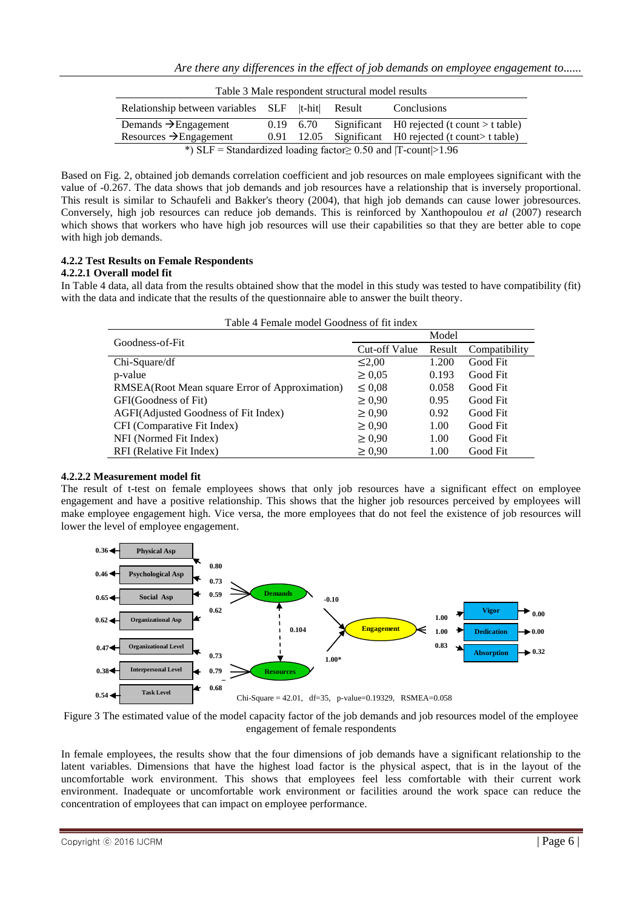| Table 3 Male respondent structural model results                              |  |            |  |                                                 |
|-------------------------------------------------------------------------------|--|------------|--|-------------------------------------------------|
| Relationship between variables SLF  t-hit  Result                             |  |            |  | Conclusions                                     |
| Demands $\rightarrow$ Engagement                                              |  | 0.19 6.70  |  | Significant $H0$ rejected (t count $> t$ table) |
| Resources $\rightarrow$ Engagement                                            |  | 0.91 12.05 |  | Significant H0 rejected (t count t table)       |
| *) $SLF = Standardized loading factor \ge 0.50$ and $ T\text{-count}  > 1.96$ |  |            |  |                                                 |

Based on Fig. 2, obtained job demands correlation coefficient and job resources on male employees significant with the value of -0.267. The data shows that job demands and job resources have a relationship that is inversely proportional. This result is similar to Schaufeli and Bakker's theory (2004), that high job demands can cause lower jobresources. Conversely, high job resources can reduce job demands. This is reinforced by Xanthopoulou *et al* (2007) research which shows that workers who have high job resources will use their capabilities so that they are better able to cope with high job demands.

# **4.2.2 Test Results on Female Respondents**

## **4.2.2.1 Overall model fit**

In Table 4 data, all data from the results obtained show that the model in this study was tested to have compatibility (fit) with the data and indicate that the results of the questionnaire able to answer the built theory.

| Table 4 Female model Goodness of fit index     |               |        |               |  |
|------------------------------------------------|---------------|--------|---------------|--|
| Goodness-of-Fit                                |               | Model  |               |  |
|                                                | Cut-off Value | Result | Compatibility |  |
| $Chi-Square/df$                                | $\leq 2.00$   | 1.200  | Good Fit      |  |
| p-value                                        | $\geq 0.05$   | 0.193  | Good Fit      |  |
| RMSEA(Root Mean square Error of Approximation) | $\leq 0.08$   | 0.058  | Good Fit      |  |
| GFI(Goodness of Fit)                           | $\geq 0.90$   | 0.95   | Good Fit      |  |
| AGFI(Adjusted Goodness of Fit Index)           | $\geq 0.90$   | 0.92   | Good Fit      |  |
| CFI (Comparative Fit Index)                    | $\geq 0.90$   | 1.00   | Good Fit      |  |
| NFI (Normed Fit Index)                         | $\geq 0.90$   | 1.00   | Good Fit      |  |
| RFI (Relative Fit Index)                       | $\geq 0.90$   | 1.00   | Good Fit      |  |

### **4.2.2.2 Measurement model fit**

The result of t-test on female employees shows that only job resources have a significant effect on employee engagement and have a positive relationship. This shows that the higher job resources perceived by employees will make employee engagement high. Vice versa, the more employees that do not feel the existence of job resources will lower the level of employee engagement.



Figure 3 The estimated value of the model capacity factor of the job demands and job resources model of the employee engagement of female respondents

In female employees, the results show that the four dimensions of job demands have a significant relationship to the latent variables. Dimensions that have the highest load factor is the physical aspect, that is in the layout of the uncomfortable work environment. This shows that employees feel less comfortable with their current work environment. Inadequate or uncomfortable work environment or facilities around the work space can reduce the concentration of employees that can impact on employee performance.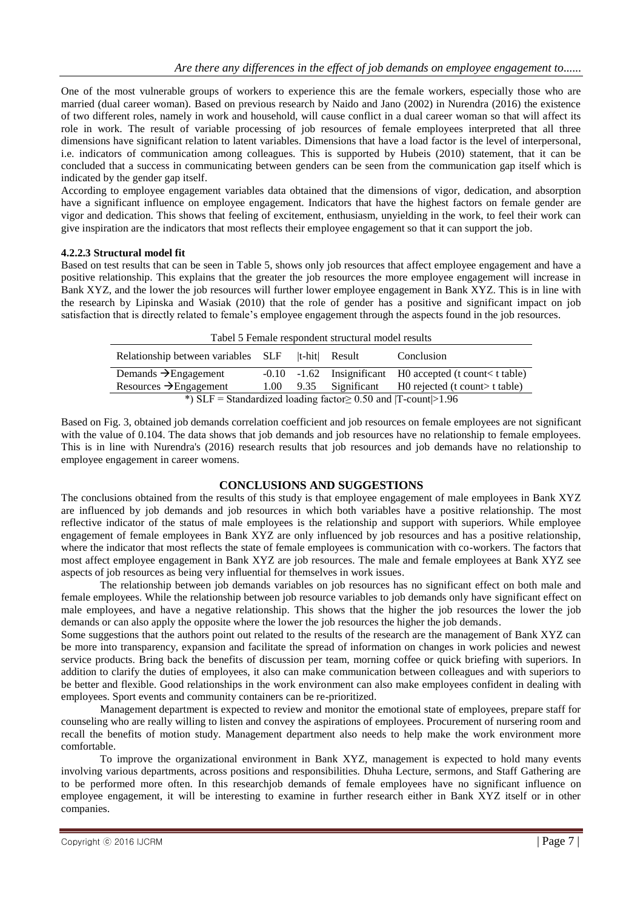One of the most vulnerable groups of workers to experience this are the female workers, especially those who are married (dual career woman). Based on previous research by Naido and Jano (2002) in Nurendra (2016) the existence of two different roles, namely in work and household, will cause conflict in a dual career woman so that will affect its role in work. The result of variable processing of job resources of female employees interpreted that all three dimensions have significant relation to latent variables. Dimensions that have a load factor is the level of interpersonal, i.e. indicators of communication among colleagues. This is supported by Hubeis (2010) statement, that it can be concluded that a success in communicating between genders can be seen from the communication gap itself which is indicated by the gender gap itself.

According to employee engagement variables data obtained that the dimensions of vigor, dedication, and absorption have a significant influence on employee engagement. Indicators that have the highest factors on female gender are vigor and dedication. This shows that feeling of excitement, enthusiasm, unyielding in the work, to feel their work can give inspiration are the indicators that most reflects their employee engagement so that it can support the job.

### **4.2.2.3 Structural model fit**

Based on test results that can be seen in Table 5, shows only job resources that affect employee engagement and have a positive relationship. This explains that the greater the job resources the more employee engagement will increase in Bank XYZ, and the lower the job resources will further lower employee engagement in Bank XYZ. This is in line with the research by Lipinska and Wasiak (2010) that the role of gender has a positive and significant impact on job satisfaction that is directly related to female's employee engagement through the aspects found in the job resources*.*

| Tabel 5 Female respondent structural model results                  |                   |  |               |                                                             |
|---------------------------------------------------------------------|-------------------|--|---------------|-------------------------------------------------------------|
| Relationship between variables SLF                                  |                   |  | t-hit  Result | Conclusion                                                  |
| Demands $\rightarrow$ Engagement                                    |                   |  |               | $-0.10$ $-1.62$ Insignificant H0 accepted (t count t table) |
| Resources $\rightarrow$ Engagement                                  | $1.00 \quad 9.35$ |  | Significant   | $H0$ rejected (t count t table)                             |
| *) SLF = Standardized loading factor $\geq 0.50$ and  T-count >1.96 |                   |  |               |                                                             |

Based on Fig. 3, obtained job demands correlation coefficient and job resources on female employees are not significant with the value of 0.104. The data shows that job demands and job resources have no relationship to female employees. This is in line with Nurendra's (2016) research results that job resources and job demands have no relationship to employee engagement in career womens.

### **CONCLUSIONS AND SUGGESTIONS**

The conclusions obtained from the results of this study is that employee engagement of male employees in Bank XYZ are influenced by job demands and job resources in which both variables have a positive relationship. The most reflective indicator of the status of male employees is the relationship and support with superiors. While employee engagement of female employees in Bank XYZ are only influenced by job resources and has a positive relationship, where the indicator that most reflects the state of female employees is communication with co-workers. The factors that most affect employee engagement in Bank XYZ are job resources. The male and female employees at Bank XYZ see aspects of job resources as being very influential for themselves in work issues.

The relationship between job demands variables on job resources has no significant effect on both male and female employees. While the relationship between job resource variables to job demands only have significant effect on male employees, and have a negative relationship. This shows that the higher the job resources the lower the job demands or can also apply the opposite where the lower the job resources the higher the job demands.

Some suggestions that the authors point out related to the results of the research are the management of Bank XYZ can be more into transparency, expansion and facilitate the spread of information on changes in work policies and newest service products. Bring back the benefits of discussion per team, morning coffee or quick briefing with superiors. In addition to clarify the duties of employees, it also can make communication between colleagues and with superiors to be better and flexible. Good relationships in the work environment can also make employees confident in dealing with employees. Sport events and community containers can be re-prioritized.

Management department is expected to review and monitor the emotional state of employees, prepare staff for counseling who are really willing to listen and convey the aspirations of employees. Procurement of nursering room and recall the benefits of motion study. Management department also needs to help make the work environment more comfortable.

To improve the organizational environment in Bank XYZ, management is expected to hold many events involving various departments, across positions and responsibilities. Dhuha Lecture, sermons, and Staff Gathering are to be performed more often. In this researchjob demands of female employees have no significant influence on employee engagement, it will be interesting to examine in further research either in Bank XYZ itself or in other companies.